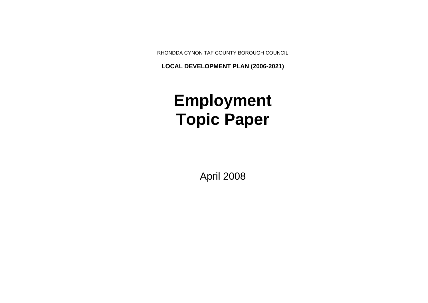RHONDDA CYNON TAF COUNTY BOROUGH COUNCIL

**LOCAL DEVELOPMENT PLAN (2006-2021)**

# **Employment Topic Paper**

April 2008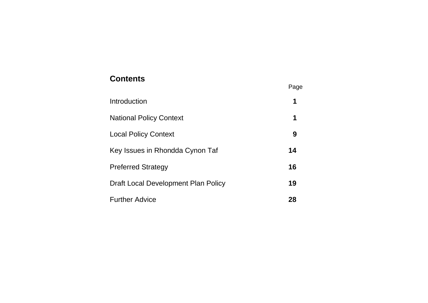## **Contents**<br>
Page

| Introduction                        | 1  |
|-------------------------------------|----|
| <b>National Policy Context</b>      | 1  |
| <b>Local Policy Context</b>         | 9  |
| Key Issues in Rhondda Cynon Taf     | 14 |
| <b>Preferred Strategy</b>           | 16 |
| Draft Local Development Plan Policy | 19 |
| <b>Further Advice</b>               | 28 |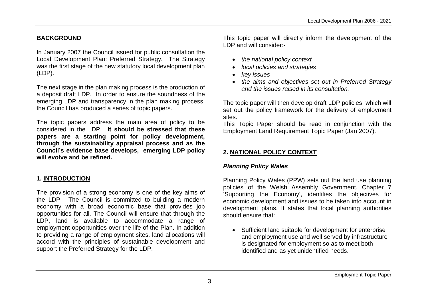#### **BACKGROUND**

In January 2007 the Council issued for public consultation the Local Development Plan: Preferred Strategy. The Strategy was the first stage of the new statutory local development plan (LDP).

The next stage in the plan making process is the production of a deposit draft LDP. In order to ensure the soundness of the emerging LDP and transparency in the plan making process, the Council has produced a series of topic papers.

The topic papers address the main area of policy to be considered in the LDP. **It should be stressed that these papers are a starting point for policy development, through the sustainability appraisal process and as the Council's evidence base develops, emerging LDP policy will evolve and be refined.**

## **1. INTRODUCTION**

The provision of a strong economy is one of the key aims of the LDP. The Council is committed to building a modern economy with a broad economic base that provides job opportunities for all. The Council will ensure that through the LDP, land is available to accommodate a range of employment opportunities over the life of the Plan. In addition to providing a range of employment sites, land allocations will accord with the principles of sustainable development and support the Preferred Strategy for the LDP.

This topic paper will directly inform the development of the LDP and will consider:-

- *the national policy context*
- *local policies and strategies*
- *key issues*
- *the aims and objectives set out in Preferred Strategy and the issues raised in its consultation.*

The topic paper will then develop draft LDP policies, which will set out the policy framework for the delivery of employment sites.

This Topic Paper should be read in conjunction with the Employment Land Requirement Topic Paper (Jan 2007).

## **2. NATIONAL POLICY CONTEXT**

#### *Planning Policy Wales*

Planning Policy Wales (PPW) sets out the land use planning policies of the Welsh Assembly Government. Chapter 7 'Supporting the Economy', identifies the objectives for economic development and issues to be taken into account in development plans. It states that local planning authorities should ensure that:

 Sufficient land suitable for development for enterprise and employment use and well served by infrastructure is designated for employment so as to meet both identified and as yet unidentified needs.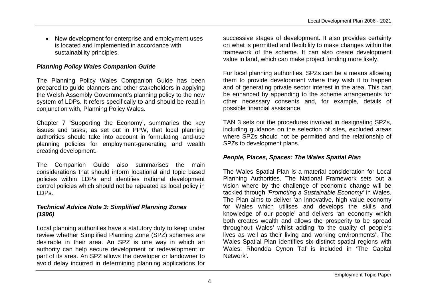• New development for enterprise and employment uses is located and implemented in accordance with sustainability principles.

#### *Planning Policy Wales Companion Guide*

The Planning Policy Wales Companion Guide has been prepared to guide planners and other stakeholders in applying the Welsh Assembly Government's planning policy to the new system of LDPs. It refers specifically to and should be read in conjunction with, Planning Policy Wales.

Chapter 7 'Supporting the Economy', summaries the key issues and tasks, as set out in PPW, that local planning authorities should take into account in formulating land-use planning policies for employment-generating and wealth creating development.

The Companion Guide also summarises the main considerations that should inform locational and topic based policies within LDPs and identifies national development control policies which should not be repeated as local policy in LDPs.

#### *Technical Advice Note 3: Simplified Planning Zones (1996)*

Local planning authorities have a statutory duty to keep under review whether Simplified Planning Zone (SPZ) schemes are desirable in their area. An SPZ is one way in which an authority can help secure development or redevelopment of part of its area. An SPZ allows the developer or landowner to avoid delay incurred in determining planning applications for

successive stages of development. It also provides certainty on what is permitted and flexibility to make changes within the framework of the scheme. It can also create development value in land, which can make project funding more likely.

For local planning authorities, SPZs can be a means allowing them to provide development where they wish it to happen and of generating private sector interest in the area. This can be enhanced by appending to the scheme arrangements for other necessary consents and, for example, details of possible financial assistance.

TAN 3 sets out the procedures involved in designating SPZs, including guidance on the selection of sites, excluded areas where SPZs should not be permitted and the relationship of SPZs to development plans.

#### *People, Places, Spaces: The Wales Spatial Plan*

The Wales Spatial Plan is a material consideration for Local Planning Authorities. The National Framework sets out a vision where by the challenge of economic change will be tackled through *'Promoting a Sustainable Economy'* in Wales. The Plan aims to deliver 'an innovative, high value economy for Wales which utilises and develops the skills and knowledge of our people' and delivers 'an economy which both creates wealth and allows the prosperity to be spread throughout Wales' whilst adding 'to the quality of people's lives as well as their living and working environments'. The Wales Spatial Plan identifies six distinct spatial regions with Wales. Rhondda Cynon Taf is included in 'The Capital Network'.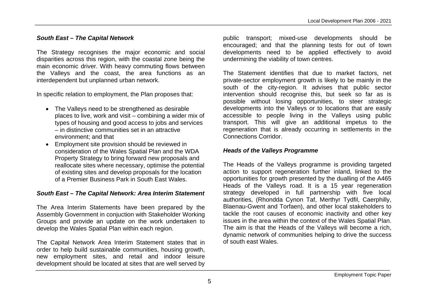#### *South East – The Capital Network*

The Strategy recognises the major economic and social disparities across this region, with the coastal zone being the main economic driver. With heavy commuting flows between the Valleys and the coast, the area functions as an interdependent but unplanned urban network.

In specific relation to employment, the Plan proposes that:

- The Valleys need to be strengthened as desirable places to live, work and visit – combining a wider mix of types of housing and good access to jobs and services – in distinctive communities set in an attractive environment; and that
- Employment site provision should be reviewed in consideration of the Wales Spatial Plan and the WDA Property Strategy to bring forward new proposals and reallocate sites where necessary, optimise the potential of existing sites and develop proposals for the location of a Premier Business Park in South East Wales.

#### *South East – The Capital Network: Area Interim Statement*

The Area Interim Statements have been prepared by the Assembly Government in conjuction with Stakeholder Working Groups and provide an update on the work undertaken to develop the Wales Spatial Plan within each region.

The Capital Network Area Interim Statement states that in order to help build sustainable communities, housing growth, new employment sites, and retail and indoor leisure development should be located at sites that are well served by

public transport; mixed-use developments should be encouraged; and that the planning tests for out of town developments need to be applied effectively to avoid undermining the viability of town centres.

The Statement identifies that due to market factors, net private-sector employment growth is likely to be mainly in the south of the city-region. It advises that public sector intervention should recognise this, but seek so far as is possible without losing opportunities, to steer strategic developments into the Valleys or to locations that are easily accessible to people living in the Valleys using public transport. This will give an additional impetus to the regeneration that is already occurring in settlements in the Connections Corridor.

#### *Heads of the Valleys Programme*

The Heads of the Valleys programme is providing targeted action to support regeneration further inland, linked to the opportunities for growth presented by the dualling of the A465 Heads of the Valleys road. It is a 15 year regeneration strategy developed in full partnership with five local authorities, (Rhondda Cynon Taf, Merthyr Tydfil, Caerphilly, Blaenau-Gwent and Torfaen), and other local stakeholders to tackle the root causes of economic inactivity and other key issues in the area within the context of the Wales Spatial Plan. The aim is that the Heads of the Valleys will become a rich, dynamic network of communities helping to drive the success of south east Wales.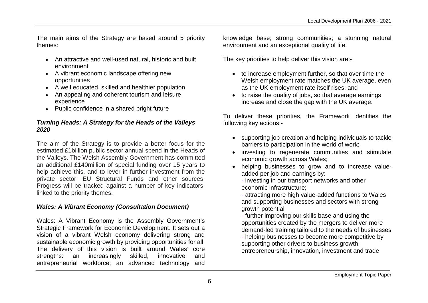The main aims of the Strategy are based around 5 priority themes:

- An attractive and well-used natural, historic and built environment
- A vibrant economic landscape offering new opportunities
- A well educated, skilled and healthier population
- An appealing and coherent tourism and leisure experience
- Public confidence in a shared bright future

#### *Turning Heads: A Strategy for the Heads of the Valleys 2020*

The aim of the Strategy is to provide a better focus for the estimated £1billion public sector annual spend in the Heads of the Valleys. The Welsh Assembly Government has committed an additional £140million of special funding over 15 years to help achieve this, and to lever in further investment from the private sector, EU Structural Funds and other sources. Progress will be tracked against a number of key indicators, linked to the priority themes.

#### *Wales: A Vibrant Economy (Consultation Document)*

Wales: A Vibrant Economy is the Assembly Government's Strategic Framework for Economic Development. It sets out a vision of a vibrant Welsh economy delivering strong and sustainable economic growth by providing opportunities for all. The delivery of this vision is built around Wales' core strengths: an increasingly skilled, innovative and entrepreneurial workforce; an advanced technology and knowledge base; strong communities; a stunning natural environment and an exceptional quality of life.

The key priorities to help deliver this vision are:-

- to increase employment further, so that over time the Welsh employment rate matches the UK average, even as the UK employment rate itself rises; and
- to raise the quality of jobs, so that average earnings increase and close the gap with the UK average.

To deliver these priorities, the Framework identifies the following key actions:-

- supporting job creation and helping individuals to tackle barriers to participation in the world of work;
- investing to regenerate communities and stimulate economic growth across Wales;
- helping businesses to grow and to increase valueadded per job and earnings by:
	- investing in our transport networks and other economic infrastructure;
	- attracting more high value-added functions to Wales and supporting businesses and sectors with strong growth potential
	- further improving our skills base and using the opportunities created by the mergers to deliver more demand-led training tailored to the needs of businesses

- helping businesses to become more competitive by supporting other drivers to business growth: entrepreneurship, innovation, investment and trade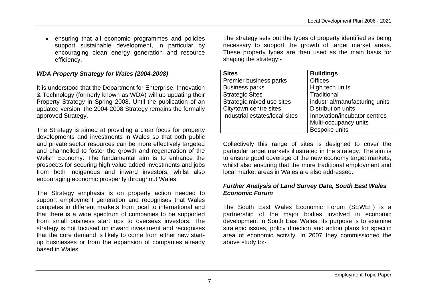ensuring that all economic programmes and policies support sustainable development, in particular by encouraging clean energy generation and resource efficiency.

#### *WDA Property Strategy for Wales (2004-2008)*

It is understood that the Department for Enterprise, Innovation & Technology (formerly known as WDA) will up updating their Property Strategy in Spring 2008. Until the publication of an updated version, the 2004-2008 Strategy remains the formally approved Strategy.

The Strategy is aimed at providing a clear focus for property developments and investments in Wales so that both public and private sector resources can be more effectively targeted and channelled to foster the growth and regeneration of the Welsh Economy. The fundamental aim is to enhance the prospects for securing high value added investments and jobs from both indigenous and inward investors, whilst also encouraging economic prosperity throughout Wales.

The Strategy emphasis is on property action needed to support employment generation and recognises that Wales competes in different markets from local to international and that there is a wide spectrum of companies to be supported from small business start ups to overseas investors. The strategy is not focused on inward investment and recognises that the core demand is likely to come from either new startup businesses or from the expansion of companies already based in Wales.

The strategy sets out the types of property identified as being necessary to support the growth of target market areas. These property types are then used as the main basis for shaping the strategy:-

| <b>Sites</b>                   | <b>Buildings</b>               |
|--------------------------------|--------------------------------|
| Premier business parks         | <b>Offices</b>                 |
| <b>Business parks</b>          | High tech units                |
| <b>Strategic Sites</b>         | Traditional                    |
| Strategic mixed use sites      | industrial/manufacturing units |
| City/town centre sites         | <b>Distribution units</b>      |
| Industrial estates/local sites | Innovation/incubator centres   |
|                                | Multi-occupancy units          |
|                                | Bespoke units                  |

Collectively this range of sites is designed to cover the particular target markets illustrated in the strategy. The aim is to ensure good coverage of the new economy target markets, whilst also ensuring that the more traditional employment and local market areas in Wales are also addressed.

#### *Further Analysis of Land Survey Data, South East Wales Economic Forum*

The South East Wales Economic Forum (SEWEF) is a partnership of the major bodies involved in economic development in South East Wales. Its purpose is to examine strategic issues, policy direction and action plans for specific area of economic activity. In 2007 they commissioned the above study to:-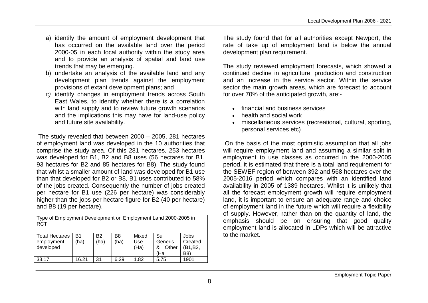- a) identify the amount of employment development that has occurred on the available land over the period 2000-05 in each local authority within the study area and to provide an analysis of spatial and land use trends that may be emerging.
- b) undertake an analysis of the available land and any development plan trends against the employment provisions of extant development plans; and
- *c)* identify changes in employment trends across South East Wales, to identify whether there is a correlation with land supply and to review future growth scenarios and the implications this may have for land-use policy and future site availability.

 The study revealed that between 2000 – 2005, 281 hectares of employment land was developed in the 10 authorities that comprise the study area. Of this 281 hectares, 253 hectares was developed for B1, B2 and B8 uses (56 hectares for B1, 93 hectares for B2 and 85 hectares for B8). The study found that whilst a smaller amount of land was developed for B1 use than that developed for B2 or B8, B1 uses contributed to 58% of the jobs created. Consequently the number of jobs created per hectare for B1 use (226 per hectare) was considerably higher than the jobs per hectare figure for B2 (40 per hectare) and B8 (19 per hectare).

| Type of Employment Development on Employment Land 2000-2005 in<br><b>RCT</b> |                   |                   |            |                      |                                     |                                    |  |
|------------------------------------------------------------------------------|-------------------|-------------------|------------|----------------------|-------------------------------------|------------------------------------|--|
| <b>Total Hectares</b><br>employment<br>developed                             | <b>B1</b><br>(ha) | <b>B2</b><br>(ha) | B8<br>(ha) | Mixed<br>Use<br>(Ha) | Sui<br>Generis<br>Other<br>&<br>(Ha | Jobs<br>Created<br>(B1, B2,<br>B8) |  |
| 33.17                                                                        | 16.21             | 31                | 6.29       | 1.82                 | 5.75                                | 1901                               |  |

The study found that for all authorities except Newport, the rate of take up of employment land is below the annual development plan requirement.

The study reviewed employment forecasts, which showed a continued decline in agriculture, production and construction and an increase in the service sector. Within the service sector the main growth areas, which are forecast to account for over 70% of the anticipated growth, are:-

- financial and business services
- health and social work
- miscellaneous services (recreational, cultural, sporting, personal services etc)

 On the basis of the most optimistic assumption that all jobs will require employment land and assuming a similar split in employment to use classes as occurred in the 2000-2005 period, it is estimated that there is a total land requirement for the SEWEF region of between 392 and 568 hectares over the 2005-2016 period which compares with an identified land availability in 2005 of 1389 hectares. Whilst it is unlikely that all the forecast employment growth will require employment land, it is important to ensure an adequate range and choice of employment land in the future which will require a flexibility of supply. However, rather than on the quantity of land, the emphasis should be on ensuring that good quality employment land is allocated in LDPs which will be attractive to the market.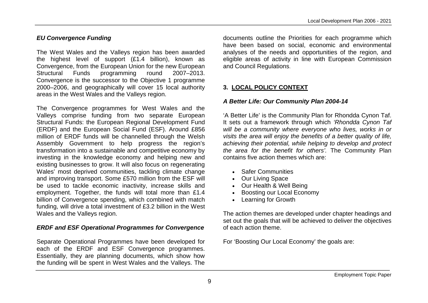## *EU Convergence Funding*

The West Wales and the Valleys region has been awarded the highest level of support (£1.4 billion), known as Convergence, from the European Union for the new European Structural Funds programming round 2007–2013. Convergence is the successor to the Objective 1 programme 2000–2006, and geographically will cover 15 local authority areas in the West Wales and the Valleys region.

The Convergence programmes for West Wales and the Valleys comprise funding from two separate European Structural Funds: the European Regional Development Fund (ERDF) and the European Social Fund (ESF). Around £856 million of ERDF funds will be channelled through the Welsh Assembly Government to help progress the region's transformation into a sustainable and competitive economy by investing in the knowledge economy and helping new and existing businesses to grow. It will also focus on regenerating Wales' most deprived communities, tackling climate change and improving transport. Some £570 million from the ESF will be used to tackle economic inactivity, increase skills and employment. Together, the funds will total more than £1.4 billion of Convergence spending, which combined with match funding, will drive a total investment of £3.2 billion in the West Wales and the Valleys region.

## *ERDF and ESF Operational Programmes for Convergence*

Separate Operational Programmes have been developed for each of the ERDF and ESF Convergence programmes. Essentially, they are planning documents, which show how the funding will be spent in West Wales and the Valleys. The

documents outline the Priorities for each programme which have been based on social, economic and environmental analyses of the needs and opportunities of the region, and eligible areas of activity in line with European Commission and Council Regulations.

## **3. LOCAL POLICY CONTEXT**

## *A Better Life: Our Community Plan 2004-14*

'A Better Life' is the Community Plan for Rhondda Cynon Taf. It sets out a framework through which *'Rhondda Cynon Taf will be a community where everyone who lives, works in or visits the area will enjoy the benefits of a better quality of life, achieving their potential, while helping to develop and protect the area for the benefit for others'.* The Community Plan contains five action themes which are:

- Safer Communities
- Our Living Space
- Our Health & Well Being
- Boosting our Local Economy
- Learning for Growth

The action themes are developed under chapter headings and set out the goals that will be achieved to deliver the objectives of each action theme.

For 'Boosting Our Local Economy' the goals are: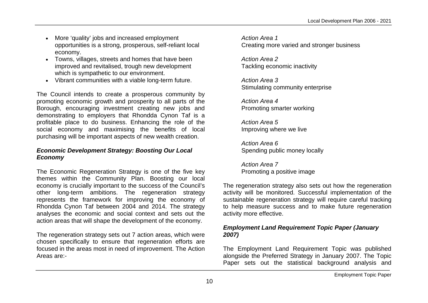- More 'quality' jobs and increased employment opportunities is a strong, prosperous, self-reliant local economy.
- Towns, villages, streets and homes that have been improved and revitalised, trough new development which is sympathetic to our environment.
- Vibrant communities with a viable long-term future.

The Council intends to create a prosperous community by promoting economic growth and prosperity to all parts of the Borough, encouraging investment creating new jobs and demonstrating to employers that Rhondda Cynon Taf is a profitable place to do business. Enhancing the role of the social economy and maximising the benefits of local purchasing will be important aspects of new wealth creation.

#### *Economic Development Strategy: Boosting Our Local Economy*

The Economic Regeneration Strategy is one of the five key themes within the Community Plan. Boosting our local economy is crucially important to the success of the Council's other long-term ambitions. The regeneration strategy represents the framework for improving the economy of Rhondda Cynon Taf between 2004 and 2014. The strategy analyses the economic and social context and sets out the action areas that will shape the development of the economy.

The regeneration strategy sets out 7 action areas, which were chosen specifically to ensure that regeneration efforts are focused in the areas most in need of improvement. The Action Areas are:-

*Action Area 1* Creating more varied and stronger business

*Action Area 2* Tackling economic inactivity

*Action Area 3* Stimulating community enterprise

*Action Area 4* Promoting smarter working

*Action Area 5* Improving where we live

*Action Area 6* Spending public money locally

*Action Area 7* Promoting a positive image

The regeneration strategy also sets out how the regeneration activity will be monitored. Successful implementation of the sustainable regeneration strategy will require careful tracking to help measure success and to make future regeneration activity more effective.

#### *Employment Land Requirement Topic Paper (January 2007)*

The Employment Land Requirement Topic was published alongside the Preferred Strategy in January 2007. The Topic Paper sets out the statistical background analysis and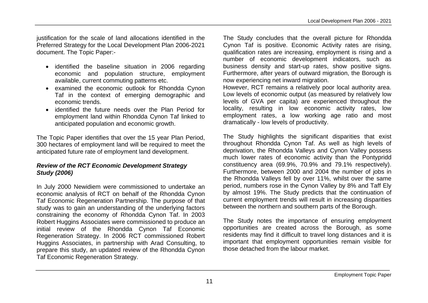justification for the scale of land allocations identified in the Preferred Strategy for the Local Development Plan 2006-2021 document. The Topic Paper:-

- identified the baseline situation in 2006 regarding economic and population structure, employment available, current commuting patterns etc.
- examined the economic outlook for Rhondda Cynon Taf in the context of emerging demographic and economic trends.
- identified the future needs over the Plan Period for employment land within Rhondda Cynon Taf linked to anticipated population and economic growth.

The Topic Paper identifies that over the 15 year Plan Period, 300 hectares of employment land will be required to meet the anticipated future rate of employment land development.

#### *Review of the RCT Economic Development Strategy Study (2006)*

In July 2000 Newidiem were commissioned to undertake an economic analysis of RCT on behalf of the Rhondda Cynon Taf Economic Regeneration Partnership. The purpose of that study was to gain an understanding of the underlying factors constraining the economy of Rhondda Cynon Taf. In 2003 Robert Huggins Associates were commissioned to produce an initial review of the Rhondda Cynon Taf Economic Regeneration Strategy. In 2006 RCT commissioned Robert Huggins Associates, in partnership with Arad Consulting, to prepare this study, an updated review of the Rhondda Cynon Taf Economic Regeneration Strategy.

The Study concludes that the overall picture for Rhondda Cynon Taf is positive. Economic Activity rates are rising, qualification rates are increasing, employment is rising and a number of economic development indicators, such as business density and start-up rates, show positive signs. Furthermore, after years of outward migration, the Borough is now experiencing net inward migration.

However, RCT remains a relatively poor local authority area. Low levels of economic output (as measured by relatively low levels of GVA per capita) are experienced throughout the locality, resulting in low economic activity rates, low employment rates, a low working age ratio and most dramatically - low levels of productivity.

The Study highlights the significant disparities that exist throughout Rhondda Cynon Taf. As well as high levels of deprivation, the Rhondda Valleys and Cynon Valley possess much lower rates of economic activity than the Pontypridd constituency area (69.9%, 70.9% and 79.1% respectively). Furthermore, between 2000 and 2004 the number of jobs in the Rhondda Valleys fell by over 11%, whilst over the same period, numbers rose in the Cynon Valley by 8% and Taff Ely by almost 19%. The Study predicts that the continuation of current employment trends will result in increasing disparities between the northern and southern parts of the Borough.

The Study notes the importance of ensuring employment opportunities are created across the Borough, as some residents may find it difficult to travel long distances and it is important that employment opportunities remain visible for those detached from the labour market.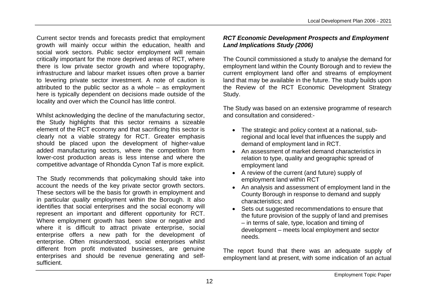Current sector trends and forecasts predict that employment growth will mainly occur within the education, health and social work sectors. Public sector employment will remain critically important for the more deprived areas of RCT, where there is low private sector growth and where topography, infrastructure and labour market issues often prove a barrier to levering private sector investment. A note of caution is attributed to the public sector as a whole – as employment here is typically dependent on decisions made outside of the locality and over which the Council has little control.

Whilst acknowledging the decline of the manufacturing sector, the Study highlights that this sector remains a sizeable element of the RCT economy and that sacrificing this sector is clearly not a viable strategy for RCT. Greater emphasis should be placed upon the development of higher-value added manufacturing sectors, where the competition from lower-cost production areas is less intense and where the competitive advantage of Rhondda Cynon Taf is more explicit.

The Study recommends that policymaking should take into account the needs of the key private sector growth sectors. These sectors will be the basis for growth in employment and in particular *quality* employment within the Borough. It also identifies that social enterprises and the social economy will represent an important and different opportunity for RCT. Where employment growth has been slow or negative and where it is difficult to attract private enterprise, social enterprise offers a new path for the development of enterprise. Often misunderstood, social enterprises whilst different from profit motivated businesses, are genuine enterprises and should be revenue generating and selfsufficient.

## *RCT Economic Development Prospects and Employment Land Implications Study (2006)*

The Council commissioned a study to analyse the demand for employment land within the County Borough and to review the current employment land offer and streams of employment land that may be available in the future. The study builds upon the Review of the RCT Economic Development Strategy Study.

The Study was based on an extensive programme of research and consultation and considered:-

- The strategic and policy context at a national, subregional and local level that influences the supply and demand of employment land in RCT.
- An assessment of market demand characteristics in relation to type, quality and geographic spread of employment land
- A review of the current (and future) supply of employment land within RCT
- An analysis and assessment of employment land in the County Borough in response to demand and supply characteristics; and
- Sets out suggested recommendations to ensure that the future provision of the supply of land and premises – in terms of sale, type, location and timing of development – meets local employment and sector needs.

The report found that there was an adequate supply of employment land at present, with some indication of an actual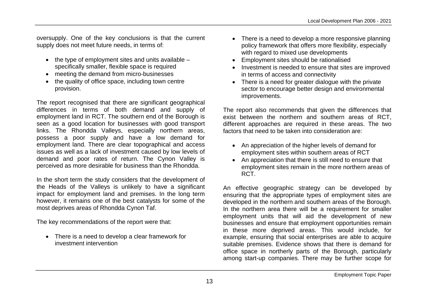oversupply. One of the key conclusions is that the current supply does not meet future needs, in terms of:

- $\bullet$  the type of employment sites and units available specifically smaller, flexible space is required
- meeting the demand from micro-businesses
- the quality of office space, including town centre provision.

The report recognised that there are significant geographical differences in terms of both demand and supply of employment land in RCT. The southern end of the Borough is seen as a good location for businesses with good transport links. The Rhondda Valleys, especially northern areas, possess a poor supply and have a low demand for employment land. There are clear topographical and access issues as well as a lack of investment caused by low levels of demand and poor rates of return. The Cynon Valley is perceived as more desirable for business than the Rhondda.

In the short term the study considers that the development of the Heads of the Valleys is unlikely to have a significant impact for employment land and premises. In the long term however, it remains one of the best catalysts for some of the most deprives areas of Rhondda Cynon Taf.

The key recommendations of the report were that:

• There is a need to develop a clear framework for investment intervention

- There is a need to develop a more responsive planning policy framework that offers more flexibility, especially with regard to mixed use developments
- Employment sites should be rationalised
- Investment is needed to ensure that sites are improved in terms of access and connectivity
- There is a need for greater dialogue with the private sector to encourage better design and environmental improvements.

The report also recommends that given the differences that exist between the northern and southern areas of RCT, different approaches are required in these areas. The two factors that need to be taken into consideration are:

- An appreciation of the higher levels of demand for employment sites within southern areas of RCT
- An appreciation that there is still need to ensure that employment sites remain in the more northern areas of RCT.

An effective geographic strategy can be developed by ensuring that the appropriate types of employment sites are developed in the northern and southern areas of the Borough. In the northern area there will be a requirement for smaller employment units that will aid the development of new businesses and ensure that employment opportunities remain in these more deprived areas. This would include, for example, ensuring that social enterprises are able to acquire suitable premises. Evidence shows that there is demand for office space in northerly parts of the Borough, particularly among start-up companies. There may be further scope for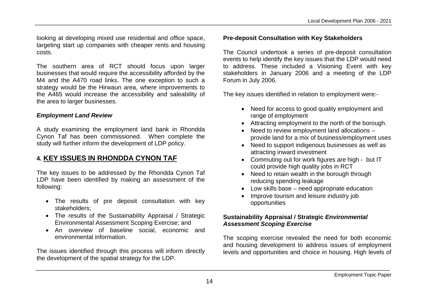looking at developing mixed use residential and office space, targeting start up companies with cheaper rents and housing costs.

The southern area of RCT should focus upon larger businesses that would require the accessibility afforded by the M4 and the A470 road links. The one exception to such a strategy would be the Hirwaun area, where improvements to the A465 would increase the accessibility and saleability of the area to larger businesses.

#### *Employment Land Review*

A study examining the employment land bank in Rhondda Cynon Taf has been commissioned. When complete the study will further inform the development of LDP policy.

## **4. KEY ISSUES IN RHONDDA CYNON TAF**

The key issues to be addressed by the Rhondda Cynon Taf LDP have been identified by making an assessment of the following:

- The results of pre deposit consultation with key stakeholders;
- The results of the Sustainability Appraisal / Strategic Environmental Assessment Scoping Exercise; and
- An overview of baseline social, economic and environmental information.

The issues identified through this process will inform directly the development of the spatial strategy for the LDP.

#### **Pre-deposit Consultation with Key Stakeholders**

The Council undertook a series of pre-deposit consultation events to help identify the key issues that the LDP would need to address. These included a Visioning Event with key stakeholders in January 2006 and a meeting of the LDP Forum in July 2006.

The key issues identified in relation to employment were:-

- Need for access to good quality employment and range of employment
- Attracting employment to the north of the borough.
- Need to review employment land allocations provide land for a mix of business/employment uses
- Need to support indigenous businesses as well as attracting inward investment
- Commuting out for work figures are high but IT could provide high quality jobs in RCT
- Need to retain wealth in the borough through reducing spending leakage
- Low skills base need appropriate education
- Improve tourism and leisure industry job opportunities

## **Sustainability Appraisal / Strategic** *Environmental Assessment Scoping Exercise*

The scoping exercise revealed the need for both economic and housing development to address issues of employment levels and opportunities and choice in housing. High levels of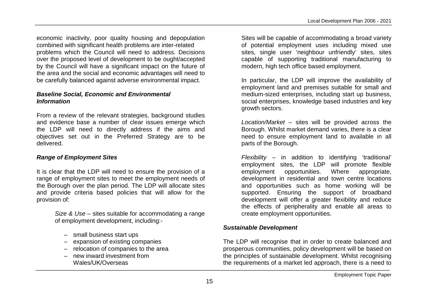economic inactivity, poor quality housing and depopulation combined with significant health problems are inter-related problems which the Council will need to address. Decisions over the proposed level of development to be ought/accepted by the Council will have a significant impact on the future of the area and the social and economic advantages will need to be carefully balanced against adverse environmental impact.

#### *Baseline Social, Economic and Environmental Information*

From a review of the relevant strategies, background studies and evidence base a number of clear issues emerge which the LDP will need to directly address if the aims and objectives set out in the Preferred Strategy are to be delivered.

#### *Range of Employment Sites*

It is clear that the LDP will need to ensure the provision of a range of employment sites to meet the employment needs of the Borough over the plan period. The LDP will allocate sites and provide criteria based policies that will allow for the provision of:

> *Size & Use* – sites suitable for accommodating a range of employment development, including:-

- small business start ups
- expansion of existing companies
- relocation of companies to the area
- new inward investment from Wales/UK/Overseas

Sites will be capable of accommodating a broad variety of potential employment uses including mixed use sites, single user 'neighbour unfriendly' sites, sites capable of supporting traditional manufacturing to modern, high tech office based employment.

In particular, the LDP will improve the availability of employment land and premises suitable for small and medium-sized enterprises, including start up business, social enterprises, knowledge based industries and key growth sectors.

*Location/Market* – sites will be provided across the Borough. Whilst market demand varies, there is a clear need to ensure employment land to available in all parts of the Borough.

*Flexibility* – in addition to identifying 'traditional' employment sites, the LDP will promote flexible employment opportunities. Where appropriate, development in residential and town centre locations and opportunities such as home working will be supported. Ensuring the support of broadband development will offer a greater flexibility and reduce the effects of peripherality and enable all areas to create employment opportunities.

## *Sustainable Development*

The LDP will recognise that in order to create balanced and prosperous communities, policy development will be based on the principles of sustainable development. Whilst recognising the requirements of a market led approach, there is a need to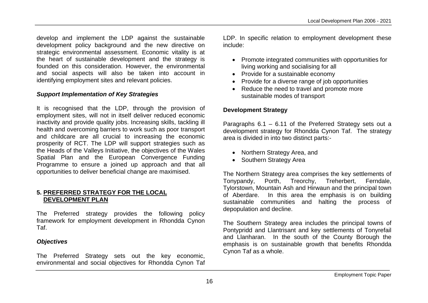develop and implement the LDP against the sustainable development policy background and the new directive on strategic environmental assessment. Economic vitality is at the heart of sustainable development and the strategy is founded on this consideration. However, the environmental and social aspects will also be taken into account in identifying employment sites and relevant policies.

#### *Support Implementation of Key Strategies*

It is recognised that the LDP, through the provision of employment sites, will not in itself deliver reduced economic inactivity and provide quality jobs. Increasing skills, tackling ill health and overcoming barriers to work such as poor transport and childcare are all crucial to increasing the economic prosperity of RCT. The LDP will support strategies such as the Heads of the Valleys Initiative, the objectives of the Wales Spatial Plan and the European Convergence Funding Programme to ensure a joined up approach and that all opportunities to deliver beneficial change are maximised.

#### **5. PREFERRED STRATEGY FOR THE LOCAL DEVELOPMENT PLAN**

The Preferred strategy provides the following policy framework for employment development in Rhondda Cynon Taf.

#### *Objectives*

The Preferred Strategy sets out the key economic, environmental and social objectives for Rhondda Cynon Taf LDP. In specific relation to employment development these include:

- Promote integrated communities with opportunities for living working and socialising for all
- Provide for a sustainable economy
- Provide for a diverse range of job opportunities
- Reduce the need to travel and promote more sustainable modes of transport

#### **Development Strategy**

Paragraphs 6.1 – 6.11 of the Preferred Strategy sets out a development strategy for Rhondda Cynon Taf. The strategy area is divided in into two distinct parts:-

- Northern Strategy Area, and
- Southern Strategy Area

The Northern Strategy area comprises the key settlements of Tonypandy, Porth, Treorchy, Treherbert, Ferndale, Tylorstown, Mountain Ash and Hirwaun and the principal town of Aberdare. In this area the emphasis is on building sustainable communities and halting the process of depopulation and decline.

The Southern Strategy area includes the principal towns of Pontypridd and Llantrisant and key settlements of Tonyrefail and Llanharan. In the south of the County Borough the emphasis is on sustainable growth that benefits Rhondda Cynon Taf as a whole.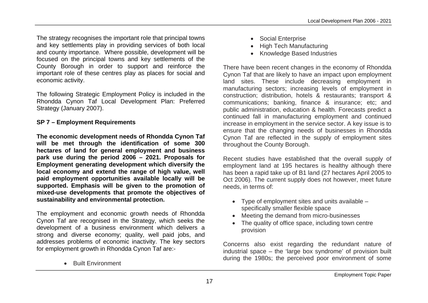The strategy recognises the important role that principal towns and key settlements play in providing services of both local and county importance. Where possible, development will be focused on the principal towns and key settlements of the County Borough in order to support and reinforce the important role of these centres play as places for social and economic activity.

The following Strategic Employment Policy is included in the Rhondda Cynon Taf Local Development Plan: Preferred Strategy (January 2007).

#### **SP 7 – Employment Requirements**

**The economic development needs of Rhondda Cynon Taf will be met through the identification of some 300 hectares of land for general employment and business park use during the period 2006 – 2021. Proposals for Employment generating development which diversify the local economy and extend the range of high value, well paid employment opportunities available locally will be supported. Emphasis will be given to the promotion of mixed-use developments that promote the objectives of sustainability and environmental protection.**

The employment and economic growth needs of Rhondda Cynon Taf are recognised in the Strategy, which seeks the development of a business environment which delivers a strong and diverse economy; quality, well paid jobs, and addresses problems of economic inactivity. The key sectors for employment growth in Rhondda Cynon Taf are:-

• Built Environment

- Social Enterprise
- High Tech Manufacturing
- Knowledge Based Industries

There have been recent changes in the economy of Rhondda Cynon Taf that are likely to have an impact upon employment land sites. These include decreasing employment in manufacturing sectors; increasing levels of employment in construction; distribution, hotels & restaurants; transport & communications; banking, finance & insurance; etc; and public administration, education & health. Forecasts predict a continued fall in manufacturing employment and continued increase in employment in the service sector. A key issue is to ensure that the changing needs of businesses in Rhondda Cynon Taf are reflected in the supply of employment sites throughout the County Borough.

Recent studies have established that the overall supply of employment land at 195 hectares is healthy although there has been a rapid take up of B1 land (27 hectares April 2005 to Oct 2006). The current supply does not however, meet future needs, in terms of:

- Type of employment sites and units available specifically smaller flexible space
- Meeting the demand from micro-businesses
- The quality of office space, including town centre provision

Concerns also exist regarding the redundant nature of industrial space – the 'large box syndrome' of provision built during the 1980s; the perceived poor environment of some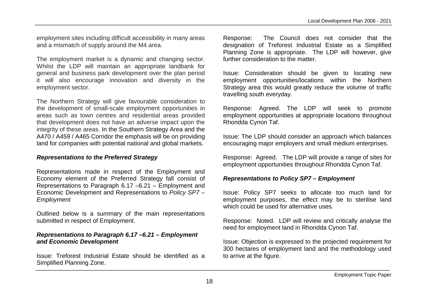employment sites including difficult accessibility in many areas and a mismatch of supply around the M4 area.

The employment market is a dynamic and changing sector. Whilst the LDP will maintain an appropriate landbank for general and business park development over the plan period it will also encourage innovation and diversity in the employment sector.

The Northern Strategy will give favourable consideration to the development of small-scale employment opportunities in areas such as town centres and residential areas provided that development does not have an adverse impact upon the integrity of these areas. In the Southern Strategy Area and the A470 / A459 / A465 Corridor the emphasis will be on providing land for companies with potential national and global markets.

#### *Representations to the Preferred Strategy*

Representations made in respect of the Employment and Economy element of the Preferred Strategy fall consist of Representations to Paragraph 6.17 –6.21 – Employment and Economic Development and Representations to *Policy SP7 – Employment*

Outlined below is a summary of the main representations submitted in respect of Employment.

#### *Representations to Paragraph 6.17 –6.21 – Employment and Economic Development*

Issue: Treforest Industrial Estate should be identified as a Simplified Planning Zone.

Response: The Council does not consider that the designation of Treforest Industrial Estate as a Simplified Planning Zone is appropriate. The LDP will however, give further consideration to the matter.

Issue: Consideration should be given to locating new employment opportunities/locations within the Northern Strategy area this would greatly reduce the volume of traffic travelling south everyday.

Response: Agreed. The LDP will seek to promote employment opportunities at appropriate locations throughout Rhondda Cynon Taf.

Issue: The LDP should consider an approach which balances encouraging major employers and small medium enterprises.

Response: Agreed. The LDP will provide a range of sites for employment opportunities throughout Rhondda Cynon Taf.

#### *Representations to Policy SP7 – Employment*

Issue: Policy SP7 seeks to allocate too much land for employment purposes, the effect may be to sterilise land which could be used for alternative uses.

Response: Noted. LDP will review and critically analyse the need for employment land in Rhondda Cynon Taf.

Issue: Objection is expressed to the projected requirement for 300 hectares of employment land and the methodology used to arrive at the figure.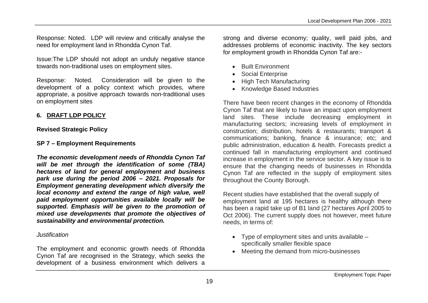Response: Noted. LDP will review and critically analyse the need for employment land in Rhondda Cynon Taf.

Issue:The LDP should not adopt an unduly negative stance towards non-traditional uses on employment sites.

Response: Noted. Consideration will be given to the development of a policy context which provides, where appropriate, a positive approach towards non-traditional uses on employment sites

## **6. DRAFT LDP POLICY**

## **Revised Strategic Policy**

## **SP 7 – Employment Requirements**

*The economic development needs of Rhondda Cynon Taf will be met through the identification of some (TBA) hectares of land for general employment and business park use during the period 2006 – 2021. Proposals for Employment generating development which diversify the local economy and extend the range of high value, well paid employment opportunities available locally will be supported. Emphasis will be given to the promotion of mixed use developments that promote the objectives of sustainability and environmental protection.*

## *Justification*

The employment and economic growth needs of Rhondda Cynon Taf are recognised in the Strategy, which seeks the development of a business environment which delivers a strong and diverse economy; quality, well paid jobs, and addresses problems of economic inactivity. The key sectors for employment growth in Rhondda Cynon Taf are:-

- **•** Built Environment
- Social Enterprise
- High Tech Manufacturing
- Knowledge Based Industries

There have been recent changes in the economy of Rhondda Cynon Taf that are likely to have an impact upon employment land sites. These include decreasing employment in manufacturing sectors; increasing levels of employment in construction; distribution, hotels & restaurants; transport & communications; banking, finance & insurance; etc; and public administration, education & health. Forecasts predict a continued fall in manufacturing employment and continued increase in employment in the service sector. A key issue is to ensure that the changing needs of businesses in Rhondda Cynon Taf are reflected in the supply of employment sites throughout the County Borough.

Recent studies have established that the overall supply of employment land at 195 hectares is healthy although there has been a rapid take up of B1 land (27 hectares April 2005 to Oct 2006). The current supply does not however, meet future needs, in terms of:

- Type of employment sites and units available specifically smaller flexible space
- Meeting the demand from micro-businesses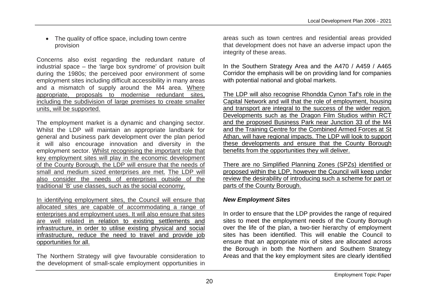• The quality of office space, including town centre provision

Concerns also exist regarding the redundant nature of industrial space – the 'large box syndrome' of provision built during the 1980s; the perceived poor environment of some employment sites including difficult accessibility in many areas and a mismatch of supply around the M4 area. Where appropriate, proposals to modernise redundant sites, including the subdivision of large premises to create smaller units, will be supported.

The employment market is a dynamic and changing sector. Whilst the LDP will maintain an appropriate landbank for general and business park development over the plan period it will also encourage innovation and diversity in the employment sector. Whilst recognising the important role that key employment sites will play in the economic development of the County Borough, the LDP will ensure that the needs of small and medium sized enterprises are met. The LDP will also consider the needs of enterprises outside of the traditional 'B' use classes, such as the social economy.

In identifying employment sites, the Council will ensure that allocated sites are capable of accommodating a range of enterprises and employment uses. It will also ensure that sites are well related in relation to existing settlements and infrastructure, in order to utilise existing physical and social infrastructure, reduce the need to travel and provide job opportunities for all.

The Northern Strategy will give favourable consideration to the development of small-scale employment opportunities in

areas such as town centres and residential areas provided that development does not have an adverse impact upon the integrity of these areas.

In the Southern Strategy Area and the A470 / A459 / A465 Corridor the emphasis will be on providing land for companies with potential national and global markets.

The LDP will also recognise Rhondda Cynon Taf's role in the Capital Network and will that the role of employment, housing and transport are integral to the success of the wider region. Developments such as the Dragon Film Studios within RCT and the proposed Business Park near Junction 33 of the M4 and the Training Centre for the Combined Armed Forces at St Athan, will have regional impacts. The LDP will look to support these developments and ensure that the County Borough benefits from the opportunities they will deliver.

There are no Simplified Planning Zones (SPZs) identified or proposed within the LDP, however the Council will keep under review the desirability of introducing such a scheme for part or parts of the County Borough.

#### *New Employment Sites*

In order to ensure that the LDP provides the range of required sites to meet the employment needs of the County Borough over the life of the plan, a two-tier hierarchy of employment sites has been identified. This will enable the Council to ensure that an appropriate mix of sites are allocated across the Borough in both the Northern and Southern Strategy Areas and that the key employment sites are clearly identified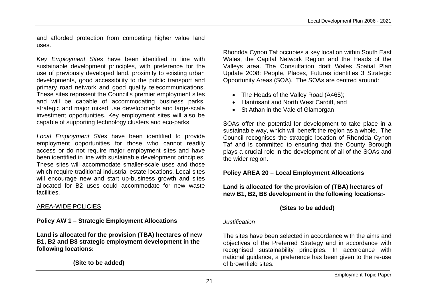and afforded protection from competing higher value land uses.

*Key Employment Sites* have been identified in line with sustainable development principles, with preference for the use of previously developed land, proximity to existing urban developments, good accessibility to the public transport and primary road network and good quality telecommunications. These sites represent the Council's premier employment sites and will be capable of accommodating business parks, strategic and major mixed use developments and large-scale investment opportunities. Key employment sites will also be capable of supporting technology clusters and eco-parks.

*Local Employment Sites* have been identified to provide employment opportunities for those who cannot readily access or do not require major employment sites and have been identified in line with sustainable development principles. These sites will accommodate smaller-scale uses and those which require traditional industrial estate locations. Local sites will encourage new and start up-business growth and sites allocated for B2 uses could accommodate for new waste facilities.

#### AREA-WIDE POLICIES

#### **Policy AW 1 – Strategic Employment Allocations**

**Land is allocated for the provision (TBA) hectares of new B1, B2 and B8 strategic employment development in the following locations:**

**(Site to be added)**

Rhondda Cynon Taf occupies a key location within South East Wales, the Capital Network Region and the Heads of the Valleys area. The Consultation draft Wales Spatial Plan Update 2008: People, Places, Futures identifies 3 Strategic Opportunity Areas (SOA). The SOAs are centred around:

- The Heads of the Valley Road (A465);
- Llantrisant and North West Cardiff, and
- St Athan in the Vale of Glamorgan

SOAs offer the potential for development to take place in a sustainable way, which will benefit the region as a whole. The Council recognises the strategic location of Rhondda Cynon Taf and is committed to ensuring that the County Borough plays a crucial role in the development of all of the SOAs and the wider region.

#### **Policy AREA 20 – Local Employment Allocations**

**Land is allocated for the provision of (TBA) hectares of new B1, B2, B8 development in the following locations:-**

#### **(Sites to be added)**

#### *Justification*

The sites have been selected in accordance with the aims and objectives of the Preferred Strategy and in accordance with recognised sustainability principles. In accordance with national guidance, a preference has been given to the re-use of brownfield sites.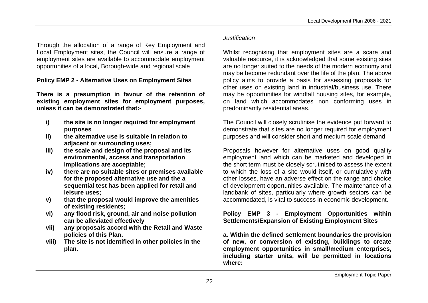Through the allocation of a range of Key Employment and Local Employment sites, the Council will ensure a range of employment sites are available to accommodate employment opportunities of a local, Borough-wide and regional scale

#### **Policy EMP 2 - Alternative Uses on Employment Sites**

**There is a presumption in favour of the retention of existing employment sites for employment purposes, unless it can be demonstrated that:-**

- **i) the site is no longer required for employment purposes**
- **ii) the alternative use is suitable in relation to adjacent or surrounding uses;**
- **iii) the scale and design of the proposal and its environmental, access and transportation implications are acceptable;**
- **iv) there are no suitable sites or premises available for the proposed alternative use and the a sequential test has been applied for retail and leisure uses;**
- **v) that the proposal would improve the amenities of existing residents;**
- **vi) any flood risk, ground, air and noise pollution can be alleviated effectively**
- **vii) any proposals accord with the Retail and Waste policies of this Plan.**
- **viii) The site is not identified in other policies in the plan.**

## *Justification*

Whilst recognising that employment sites are a scare and valuable resource, it is acknowledged that some existing sites are no longer suited to the needs of the modern economy and may be become redundant over the life of the plan. The above policy aims to provide a basis for assessing proposals for other uses on existing land in industrial/business use. There may be opportunities for windfall housing sites, for example, on land which accommodates non conforming uses in predominantly residential areas.

The Council will closely scrutinise the evidence put forward to demonstrate that sites are no longer required for employment purposes and will consider short and medium scale demand.

Proposals however for alternative uses on good quality employment land which can be marketed and developed in the short term must be closely scrutinised to assess the extent to which the loss of a site would itself, or cumulatively with other losses, have an adverse effect on the range and choice of development opportunities available. The maintenance of a landbank of sites, particularly where growth sectors can be accommodated, is vital to success in economic development.

#### **Policy EMP 3 - Employment Opportunities within Settlements/Expansion of Existing Employment Sites**

**a. Within the defined settlement boundaries the provision of new, or conversion of existing, buildings to create employment opportunities in small/medium enterprises, including starter units, will be permitted in locations where:**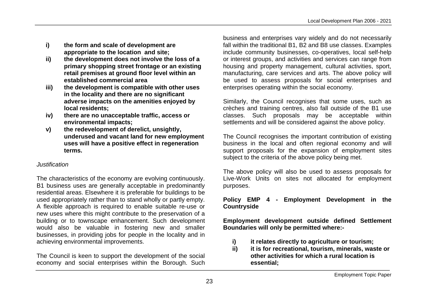- **i) the form and scale of development are appropriate to the location and site;**
- **ii) the development does not involve the loss of a primary shopping street frontage or an existing retail premises at ground floor level within an established commercial area**
- **iii) the development is compatible with other uses in the locality and there are no significant adverse impacts on the amenities enjoyed by local residents;**
- **iv) there are no unacceptable traffic, access or environmental impacts;**
- **v) the redevelopment of derelict, unsightly, underused and vacant land for new employment uses will have a positive effect in regeneration terms.**

## *Justification*

The characteristics of the economy are evolving continuously. B1 business uses are generally acceptable in predominantly residential areas. Elsewhere it is preferable for buildings to be used appropriately rather than to stand wholly or partly empty. A flexible approach is required to enable suitable re-use or new uses where this might contribute to the preservation of a building or to townscape enhancement. Such development would also be valuable in fostering new and smaller businesses, in providing jobs for people in the locality and in achieving environmental improvements.

The Council is keen to support the development of the social economy and social enterprises within the Borough. Such

business and enterprises vary widely and do not necessarily fall within the traditional B1, B2 and B8 use classes. Examples include community businesses, co-operatives, local self-help or interest groups, and activities and services can range from housing and property management, cultural activities, sport, manufacturing, care services and arts. The above policy will be used to assess proposals for social enterprises and enterprises operating within the social economy.

Similarly, the Council recognises that some uses, such as crèches and training centres, also fall outside of the B1 use classes. Such proposals may be acceptable within settlements and will be considered against the above policy.

The Council recognises the important contribution of existing business in the local and often regional economy and will support proposals for the expansion of employment sites subject to the criteria of the above policy being met.

The above policy will also be used to assess proposals for Live-Work Units on sites not allocated for employment purposes.

**Policy EMP 4 - Employment Development in the Countryside**

**Employment development outside defined Settlement Boundaries will only be permitted where:-**

- **i) it relates directly to agriculture or tourism;**
- **ii) it is for recreational, tourism, minerals, waste or other activities for which a rural location is essential;**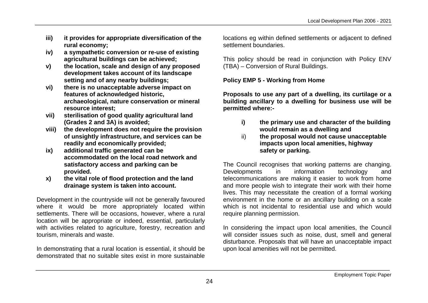- **iii) it provides for appropriate diversification of the rural economy;**
- **iv) a sympathetic conversion or re-use of existing agricultural buildings can be achieved;**
- **v) the location, scale and design of any proposed development takes account of its landscape setting and of any nearby buildings;**
- **vi) there is no unacceptable adverse impact on features of acknowledged historic, archaeological, nature conservation or mineral resource interest;**
- **vii) sterilisation of good quality agricultural land (Grades 2 and 3A) is avoided;**
- **viii) the development does not require the provision of unsightly infrastructure, and services can be readily and economically provided;**
- **ix) additional traffic generated can be accommodated on the local road network and satisfactory access and parking can be provided.**
- **x) the vital role of flood protection and the land drainage system is taken into account.**

Development in the countryside will not be generally favoured where it would be more appropriately located within settlements. There will be occasions, however, where a rural location will be appropriate or indeed, essential, particularly with activities related to agriculture, forestry, recreation and tourism, minerals and waste.

In demonstrating that a rural location is essential, it should be demonstrated that no suitable sites exist in more sustainable locations eg within defined settlements or adjacent to defined settlement boundaries.

This policy should be read in conjunction with Policy ENV (TBA) – Conversion of Rural Buildings.

## **Policy EMP 5 - Working from Home**

**Proposals to use any part of a dwelling, its curtilage or a building ancillary to a dwelling for business use will be permitted where:-**

- **i) the primary use and character of the building would remain as a dwelling and**
- ii) **the proposal would not cause unacceptable impacts upon local amenities, highway safety or parking.**

The Council recognises that working patterns are changing. Developments in information technology and telecommunications are making it easier to work from home and more people wish to integrate their work with their home lives. This may necessitate the creation of a formal working environment in the home or an ancillary building on a scale which is not incidental to residential use and which would require planning permission.

In considering the impact upon local amenities, the Council will consider issues such as noise, dust, smell and general disturbance. Proposals that will have an unacceptable impact upon local amenities will not be permitted.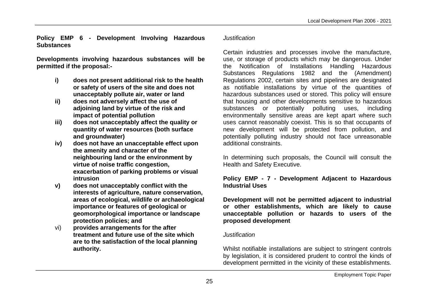**Policy EMP 6 - Development Involving Hazardous Substances**

**Developments involving hazardous substances will be permitted if the proposal:-**

- **i) does not present additional risk to the health or safety of users of the site and does not unacceptably pollute air, water or land**
- **ii) does not adversely affect the use of adjoining land by virtue of the risk and impact of potential pollution**
- **iii) does not unacceptably affect the quality or quantity of water resources (both surface and groundwater)**
- **iv) does not have an unacceptable effect upon the amenity and character of the neighbouring land or the environment by virtue of noise traffic congestion, exacerbation of parking problems or visual intrusion**
- **v) does not unacceptably conflict with the interests of agriculture, nature conservation, areas of ecological, wildlife or archaeological importance or features of geological or geomorphological importance or landscape protection policies; and**
- vi) **provides arrangements for the after treatment and future use of the site which are to the satisfaction of the local planning authority.**

#### *Justification*

Certain industries and processes involve the manufacture, use, or storage of products which may be dangerous. Under the Notification of Installations Handling Hazardous Substances Regulations 1982 and the (Amendment) Regulations 2002, certain sites and pipelines are designated as notifiable installations by virtue of the quantities of hazardous substances used or stored. This policy will ensure that housing and other developments sensitive to hazardous substances or potentially polluting uses, including environmentally sensitive areas are kept apart where such uses cannot reasonably coexist. This is so that occupants of new development will be protected from pollution, and potentially polluting industry should not face unreasonable additional constraints.

In determining such proposals, the Council will consult the Health and Safety Executive.

#### **Policy EMP - 7 - Development Adjacent to Hazardous Industrial Uses**

**Development will not be permitted adjacent to industrial or other establishments, which are likely to cause unacceptable pollution or hazards to users of the proposed development**

#### *Justification*

Whilst notifiable installations are subject to stringent controls by legislation, it is considered prudent to control the kinds of development permitted in the vicinity of these establishments.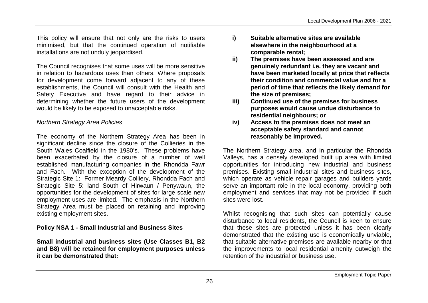This policy will ensure that not only are the risks to users minimised, but that the continued operation of notifiable installations are not unduly jeopardised.

The Council recognises that some uses will be more sensitive in relation to hazardous uses than others. Where proposals for development come forward adjacent to any of these establishments, the Council will consult with the Health and Safety Executive and have regard to their advice in determining whether the future users of the development would be likely to be exposed to unacceptable risks.

#### *Northern Strategy Area Policies*

The economy of the Northern Strategy Area has been in significant decline since the closure of the Collieries in the South Wales Coalfield in the 1980's. These problems have been exacerbated by the closure of a number of well established manufacturing companies in the Rhondda Fawr and Fach. With the exception of the development of the Strategic Site 1: Former Meardy Colliery, Rhondda Fach and Strategic Site 5: land South of Hirwaun / Penywaun, the opportunities for the development of sites for large scale new employment uses are limited. The emphasis in the Northern Strategy Area must be placed on retaining and improving existing employment sites.

#### **Policy NSA 1 - Small Industrial and Business Sites**

**Small industrial and business sites (Use Classes B1, B2 and B8) will be retained for employment purposes unless it can be demonstrated that:**

- **i) Suitable alternative sites are available elsewhere in the neighbourhood at a comparable rental;**
- **ii) The premises have been assessed and are genuinely redundant i.e. they are vacant and have been marketed locally at price that reflects their condition and commercial value and for a period of time that reflects the likely demand for the size of premises;**
- **iii) Continued use of the premises for business purposes would cause undue disturbance to residential neighbours; or**
- **iv) Access to the premises does not meet an acceptable safety standard and cannot reasonably be improved.**

The Northern Strategy area, and in particular the Rhondda Valleys, has a densely developed built up area with limited opportunities for introducing new industrial and business premises. Existing small industrial sites and business sites, which operate as vehicle repair garages and builders yards serve an important role in the local economy, providing both employment and services that may not be provided if such sites were lost.

Whilst recognising that such sites can potentially cause disturbance to local residents, the Council is keen to ensure that these sites are protected unless it has been clearly demonstrated that the existing use is economically unviable, that suitable alternative premises are available nearby or that the improvements to local residential amenity outweigh the retention of the industrial or business use.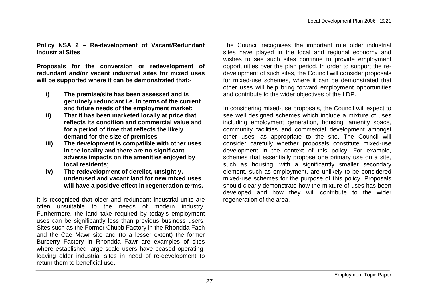**Policy NSA 2 – Re-development of Vacant/Redundant Industrial Sites**

**Proposals for the conversion or redevelopment of redundant and/or vacant industrial sites for mixed uses will be supported where it can be demonstrated that:-**

- **i) The premise/site has been assessed and is genuinely redundant i.e. In terms of the current and future needs of the employment market;**
- **ii) That it has been marketed locally at price that reflects its condition and commercial value and for a period of time that reflects the likely demand for the size of premises**
- **iii) The development is compatible with other uses in the locality and there are no significant adverse impacts on the amenities enjoyed by local residents;**
- **iv) The redevelopment of derelict, unsightly, underused and vacant land for new mixed uses will have a positive effect in regeneration terms.**

It is recognised that older and redundant industrial units are often unsuitable to the needs of modern industry. Furthermore, the land take required by today's employment uses can be significantly less than previous business users. Sites such as the Former Chubb Factory in the Rhondda Fach and the Cae Mawr site and (to a lesser extent) the former Burberry Factory in Rhondda Fawr are examples of sites where established large scale users have ceased operating, leaving older industrial sites in need of re-development to return them to beneficial use.

The Council recognises the important role older industrial sites have played in the local and regional economy and wishes to see such sites continue to provide employment opportunities over the plan period. In order to support the redevelopment of such sites, the Council will consider proposals for mixed-use schemes, where it can be demonstrated that other uses will help bring forward employment opportunities and contribute to the wider objectives of the LDP.

In considering mixed-use proposals, the Council will expect to see well designed schemes which include a mixture of uses including employment generation, housing, amenity space, community facilities and commercial development amongst other uses, as appropriate to the site. The Council will consider carefully whether proposals constitute mixed-use development in the context of this policy. For example, schemes that essentially propose one primary use on a site, such as housing, with a significantly smaller secondary element, such as employment, are unlikely to be considered mixed-use schemes for the purpose of this policy. Proposals should clearly demonstrate how the mixture of uses has been developed and how they will contribute to the wider regeneration of the area.